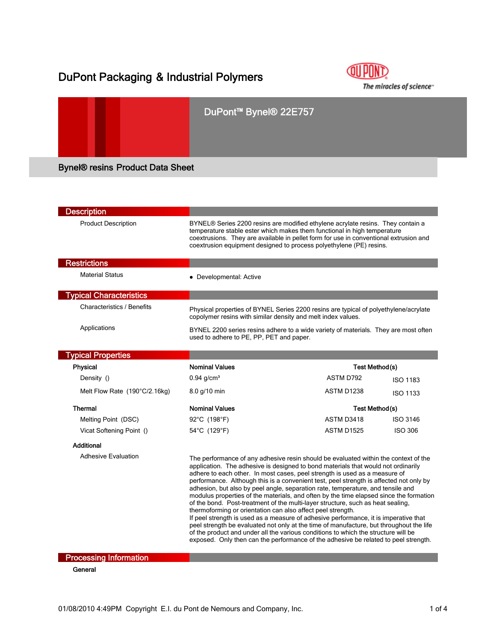## DuPont Packaging & Industrial Polymers



# DuPont™ Bynel® 22E757 Bynel® resins Product Data Sheet

| <b>Description</b>                |                                                                                                                                                                                                                                                                                                                                                                                                                                                                                                                                                                                                                                                                                                                                                                                                                                                                                                                                                                                                                                                 |                                     |  |  |
|-----------------------------------|-------------------------------------------------------------------------------------------------------------------------------------------------------------------------------------------------------------------------------------------------------------------------------------------------------------------------------------------------------------------------------------------------------------------------------------------------------------------------------------------------------------------------------------------------------------------------------------------------------------------------------------------------------------------------------------------------------------------------------------------------------------------------------------------------------------------------------------------------------------------------------------------------------------------------------------------------------------------------------------------------------------------------------------------------|-------------------------------------|--|--|
| <b>Product Description</b>        | BYNEL® Series 2200 resins are modified ethylene acrylate resins. They contain a<br>temperature stable ester which makes them functional in high temperature<br>coextrusions. They are available in pellet form for use in conventional extrusion and<br>coextrusion equipment designed to process polyethylene (PE) resins.                                                                                                                                                                                                                                                                                                                                                                                                                                                                                                                                                                                                                                                                                                                     |                                     |  |  |
| <b>Restrictions</b>               |                                                                                                                                                                                                                                                                                                                                                                                                                                                                                                                                                                                                                                                                                                                                                                                                                                                                                                                                                                                                                                                 |                                     |  |  |
| <b>Material Status</b>            | • Developmental: Active                                                                                                                                                                                                                                                                                                                                                                                                                                                                                                                                                                                                                                                                                                                                                                                                                                                                                                                                                                                                                         |                                     |  |  |
| <b>Typical Characteristics</b>    |                                                                                                                                                                                                                                                                                                                                                                                                                                                                                                                                                                                                                                                                                                                                                                                                                                                                                                                                                                                                                                                 |                                     |  |  |
| <b>Characteristics / Benefits</b> | Physical properties of BYNEL Series 2200 resins are typical of polyethylene/acrylate<br>copolymer resins with similar density and melt index values.                                                                                                                                                                                                                                                                                                                                                                                                                                                                                                                                                                                                                                                                                                                                                                                                                                                                                            |                                     |  |  |
| Applications                      | BYNEL 2200 series resins adhere to a wide variety of materials. They are most often<br>used to adhere to PE, PP, PET and paper.                                                                                                                                                                                                                                                                                                                                                                                                                                                                                                                                                                                                                                                                                                                                                                                                                                                                                                                 |                                     |  |  |
| <b>Typical Properties</b>         |                                                                                                                                                                                                                                                                                                                                                                                                                                                                                                                                                                                                                                                                                                                                                                                                                                                                                                                                                                                                                                                 |                                     |  |  |
| <b>Physical</b>                   | <b>Nominal Values</b><br>Test Method(s)                                                                                                                                                                                                                                                                                                                                                                                                                                                                                                                                                                                                                                                                                                                                                                                                                                                                                                                                                                                                         |                                     |  |  |
| Density ()                        | $0.94$ g/cm <sup>3</sup>                                                                                                                                                                                                                                                                                                                                                                                                                                                                                                                                                                                                                                                                                                                                                                                                                                                                                                                                                                                                                        | ASTM D792<br><b>ISO 1183</b>        |  |  |
| Melt Flow Rate (190°C/2.16kg)     | 8.0 g/10 min                                                                                                                                                                                                                                                                                                                                                                                                                                                                                                                                                                                                                                                                                                                                                                                                                                                                                                                                                                                                                                    | ASTM D1238<br><b>ISO 1133</b>       |  |  |
| Thermal                           | <b>Nominal Values</b>                                                                                                                                                                                                                                                                                                                                                                                                                                                                                                                                                                                                                                                                                                                                                                                                                                                                                                                                                                                                                           | Test Method(s)                      |  |  |
| Melting Point (DSC)               | 92°C (198°F)                                                                                                                                                                                                                                                                                                                                                                                                                                                                                                                                                                                                                                                                                                                                                                                                                                                                                                                                                                                                                                    | ASTM D3418<br><b>ISO 3146</b>       |  |  |
| Vicat Softening Point ()          | 54°C (129°F)                                                                                                                                                                                                                                                                                                                                                                                                                                                                                                                                                                                                                                                                                                                                                                                                                                                                                                                                                                                                                                    | <b>ASTM D1525</b><br><b>ISO 306</b> |  |  |
| Additional                        |                                                                                                                                                                                                                                                                                                                                                                                                                                                                                                                                                                                                                                                                                                                                                                                                                                                                                                                                                                                                                                                 |                                     |  |  |
| <b>Adhesive Evaluation</b>        | The performance of any adhesive resin should be evaluated within the context of the<br>application. The adhesive is designed to bond materials that would not ordinarily<br>adhere to each other. In most cases, peel strength is used as a measure of<br>performance. Although this is a convenient test, peel strength is affected not only by<br>adhesion, but also by peel angle, separation rate, temperature, and tensile and<br>modulus properties of the materials, and often by the time elapsed since the formation<br>of the bond. Post-treatment of the multi-layer structure, such as heat sealing,<br>thermoforming or orientation can also affect peel strength.<br>If peel strength is used as a measure of adhesive performance, it is imperative that<br>peel strength be evaluated not only at the time of manufacture, but throughout the life<br>of the product and under all the various conditions to which the structure will be<br>exposed. Only then can the performance of the adhesive be related to peel strength. |                                     |  |  |

**Processing Information** 

**General**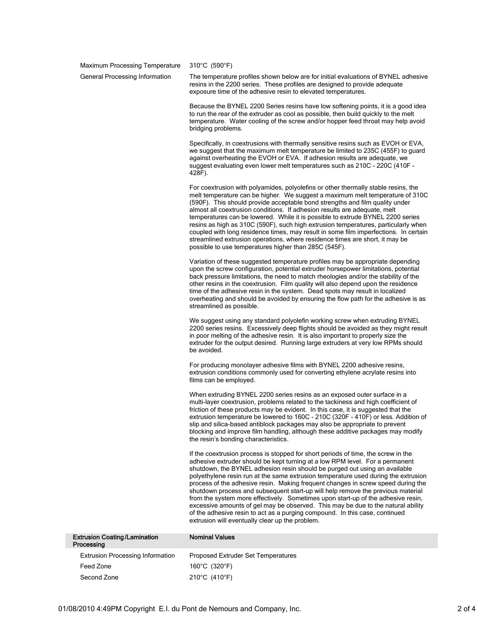Maximum Processing Temperature 310°C (590°F)

General Processing Information The temperature profiles shown below are for initial evaluations of BYNEL adhesive resins in the 2200 series. These profiles are designed to provide adequate exposure time of the adhesive resin to elevated temperatures.

> Because the BYNEL 2200 Series resins have low softening points, it is a good idea to run the rear of the extruder as cool as possible, then build quickly to the melt temperature. Water cooling of the screw and/or hopper feed throat may help avoid bridging problems.

> Specifically, in coextrusions with thermally sensitive resins such as EVOH or EVA, we suggest that the maximum melt temperature be limited to 235C (455F) to guard against overheating the EVOH or EVA. If adhesion results are adequate, we suggest evaluating even lower melt temperatures such as 210C - 220C (410F - 428F).

For coextrusion with polyamides, polyolefins or other thermally stable resins, the melt temperature can be higher. We suggest a maximum melt temperature of 310C (590F). This should provide acceptable bond strengths and film quality under almost all coextrusion conditions. If adhesion results are adequate, melt temperatures can be lowered. While it is possible to extrude BYNEL 2200 series resins as high as 310C (590F), such high extrusion temperatures, particularly when coupled with long residence times, may result in some film imperfections. In certain streamlined extrusion operations, where residence times are short, it may be possible to use temperatures higher than 285C (545F).

Variation of these suggested temperature profiles may be appropriate depending upon the screw configuration, potential extruder horsepower limitations, potential back pressure limitations, the need to match rheologies and/or the stability of the other resins in the coextrusion. Film quality will also depend upon the residence time of the adhesive resin in the system. Dead spots may result in localized overheating and should be avoided by ensuring the flow path for the adhesive is as streamlined as possible.

We suggest using any standard polyolefin working screw when extruding BYNEL 2200 series resins. Excessively deep flights should be avoided as they might result in poor melting of the adhesive resin. It is also important to properly size the extruder for the output desired. Running large extruders at very low RPMs should be avoided.

For producing monolayer adhesive films with BYNEL 2200 adhesive resins, extrusion conditions commonly used for converting ethylene acrylate resins into films can be employed.

When extruding BYNEL 2200 series resins as an exposed outer surface in a multi-layer coextrusion, problems related to the tackiness and high coefficient of friction of these products may be evident. In this case, it is suggested that the extrusion temperature be lowered to 160C - 210C (320F - 410F) or less. Addition of slip and silica-based antiblock packages may also be appropriate to prevent blocking and improve film handling, although these additive packages may modify the resin's bonding characteristics.

If the coextrusion process is stopped for short periods of time, the screw in the adhesive extruder should be kept turning at a low RPM level. For a permanent shutdown, the BYNEL adhesion resin should be purged out using an available polyethylene resin run at the same extrusion temperature used during the extrusion process of the adhesive resin. Making frequent changes in screw speed during the shutdown process and subsequent start-up will help remove the previous material from the system more effectively. Sometimes upon start-up of the adhesive resin, excessive amounts of gel may be observed. This may be due to the natural ability of the adhesive resin to act as a purging compound. In this case, continued extrusion will eventually clear up the problem.

| <b>Extrusion Coating/Lamination</b><br>Processing | <b>Nominal Values</b>              |
|---------------------------------------------------|------------------------------------|
| <b>Extrusion Processing Information</b>           | Proposed Extruder Set Temperatures |
| Feed Zone                                         | 160°C (320°F)                      |
| Second Zone                                       | 210°C (410°F)                      |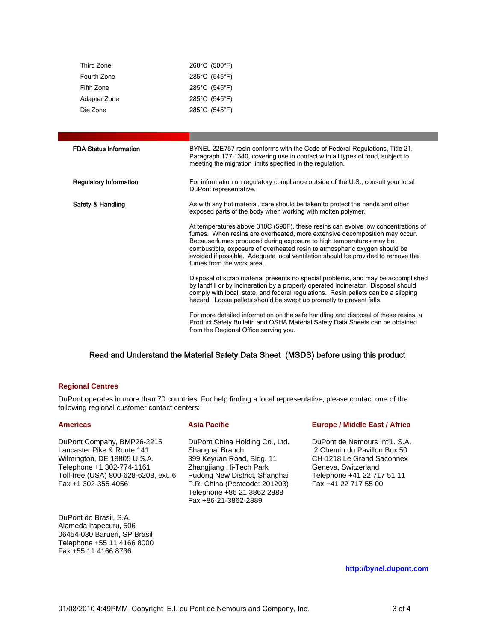| Third Zone   | 260°C (500°F)                      |
|--------------|------------------------------------|
| Fourth Zone  | 285°C (545°F)                      |
| Fifth Zone   | $285^{\circ}$ C (545 $^{\circ}$ F) |
| Adapter Zone | 285°C (545°F)                      |
| Die Zone     | 285°C (545°F)                      |

| <b>FDA Status Information</b> | BYNEL 22E757 resin conforms with the Code of Federal Regulations, Title 21,<br>Paragraph 177.1340, covering use in contact with all types of food, subject to<br>meeting the migration limits specified in the regulation.                                                                                                                                                                                                         |  |
|-------------------------------|------------------------------------------------------------------------------------------------------------------------------------------------------------------------------------------------------------------------------------------------------------------------------------------------------------------------------------------------------------------------------------------------------------------------------------|--|
| <b>Regulatory Information</b> | For information on regulatory compliance outside of the U.S., consult your local<br>DuPont representative.                                                                                                                                                                                                                                                                                                                         |  |
| Safety & Handling             | As with any hot material, care should be taken to protect the hands and other<br>exposed parts of the body when working with molten polymer.                                                                                                                                                                                                                                                                                       |  |
|                               | At temperatures above 310C (590F), these resins can evolve low concentrations of<br>fumes. When resins are overheated, more extensive decomposition may occur.<br>Because fumes produced during exposure to high temperatures may be<br>combustible, exposure of overheated resin to atmospheric oxygen should be<br>avoided if possible. Adequate local ventilation should be provided to remove the<br>fumes from the work area. |  |
|                               | Disposal of scrap material presents no special problems, and may be accomplished<br>by landfill or by incineration by a properly operated incinerator. Disposal should<br>comply with local, state, and federal regulations. Resin pellets can be a slipping<br>hazard. Loose pellets should be swept up promptly to prevent falls.                                                                                                |  |
|                               | For more detailed information on the safe handling and disposal of these resins, a<br>Product Safety Bulletin and OSHA Material Safety Data Sheets can be obtained<br>from the Regional Office serving you.                                                                                                                                                                                                                        |  |

## Read and Understand the Material Safety Data Sheet (MSDS) before using this product

### **Regional Centres**

DuPont operates in more than 70 countries. For help finding a local representative, please contact one of the following regional customer contact centers:

| <b>Americas</b>                                                                                                                                                                     | <b>Asia Pacific</b>                                                                                                                                                                                                               | <b>Europe / Middle East / Africa</b>                                                                                                                                    |
|-------------------------------------------------------------------------------------------------------------------------------------------------------------------------------------|-----------------------------------------------------------------------------------------------------------------------------------------------------------------------------------------------------------------------------------|-------------------------------------------------------------------------------------------------------------------------------------------------------------------------|
| DuPont Company, BMP26-2215<br>Lancaster Pike & Route 141<br>Wilmington, DE 19805 U.S.A.<br>Telephone +1 302-774-1161<br>Toll-free (USA) 800-628-6208, ext. 6<br>Fax +1 302-355-4056 | DuPont China Holding Co., Ltd.<br>Shanghai Branch<br>399 Keyuan Road, Bldg. 11<br>Zhangjiang Hi-Tech Park<br>Pudong New District, Shanghai<br>P.R. China (Postcode: 201203)<br>Telephone +86 21 3862 2888<br>Fax +86-21-3862-2889 | DuPont de Nemours Int'1, S.A.<br>2, Chemin du Pavillon Box 50<br>CH-1218 Le Grand Saconnex<br>Geneva, Switzerland<br>Telephone +41 22 717 51 11<br>Fax +41 22 717 55 00 |
| DuPont do Brasil, S.A.<br>Alameda Itapecuru, 506<br>06454-080 Barueri, SP Brasil<br>Telephone +55 11 4166 8000<br>Fax +55 11 4166 8736                                              |                                                                                                                                                                                                                                   |                                                                                                                                                                         |

**http://bynel.dupont.com**